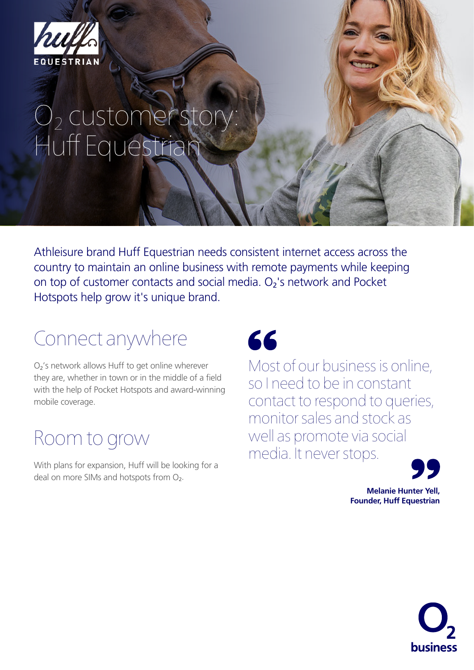

# $O_2$  customer story: Huff Equestrian

Athleisure brand Huff Equestrian needs consistent internet access across the country to maintain an online business with remote payments while keeping on top of customer contacts and social media. O<sub>2</sub>'s network and Pocket Hotspots help grow it's unique brand.

# Connect anywhere

O2's network allows Huff to get online wherever they are, whether in town or in the middle of a field with the help of Pocket Hotspots and award-winning mobile coverage.

## Room to grow

With plans for expansion, Huff will be looking for a deal on more SIMs and hotspots from O<sub>2</sub>.

# 66

Most of our business is online, so I need to be in constant contact to respond to queries, monitor sales and stock as well as promote via social media. It never stops.



**Melanie Hunter Yell, Founder, Huff Equestrian** 

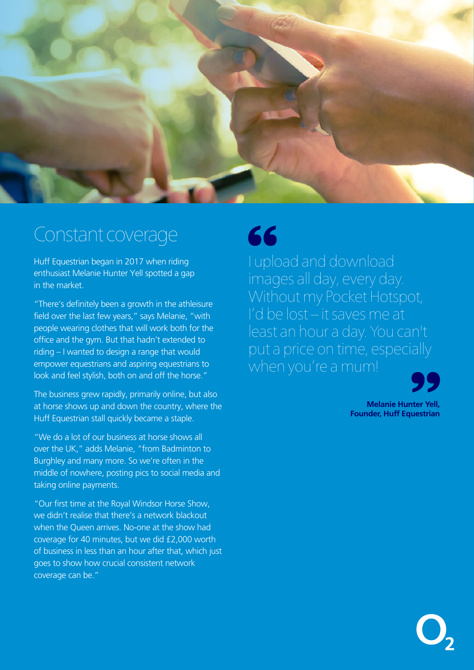

#### Constant coverage

Huff Equestrian began in 2017 when riding enthusiast Melanie Hunter Yell spotted a gap in the market.

"There's definitely been a growth in the athleisure field over the last few years," says Melanie, "with people wearing clothes that will work both for the office and the gym. But that hadn't extended to riding – I wanted to design a range that would empower equestrians and aspiring equestrians to look and feel stylish, both on and off the horse."

The business grew rapidly, primarily online, but also at horse shows up and down the country, where the Huff Equestrian stall quickly became a staple.

"We do a lot of our business at horse shows all over the UK," adds Melanie, "from Badminton to Burghley and many more. So we're often in the middle of nowhere, posting pics to social media and taking online payments.

"Our first time at the Royal Windsor Horse Show, we didn't realise that there's a network blackout when the Queen arrives. No-one at the show had coverage for 40 minutes, but we did £2,000 worth of business in less than an hour after that, which just goes to show how crucial consistent network coverage can be."

# 66

I upload and download images all day, every day. Without my Pocket Hotspot, I'd be lost – it saves me at least an hour a day. You can't put a price on time, especially when you're a mum!

**Melanie Hunter Yell, Founder, Huff Equestrian** 

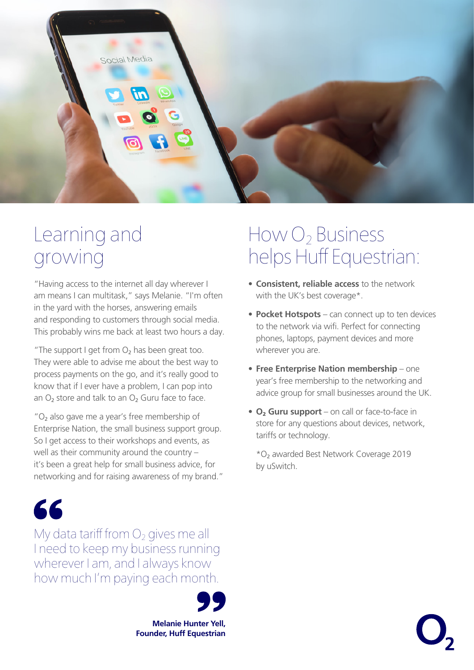

#### Learning and growing

"Having access to the internet all day wherever I am means I can multitask," says Melanie. "I'm often in the yard with the horses, answering emails and responding to customers through social media. This probably wins me back at least two hours a day.

"The support I get from  $O<sub>2</sub>$  has been great too. They were able to advise me about the best way to process payments on the go, and it's really good to know that if I ever have a problem, I can pop into an  $O<sub>2</sub>$  store and talk to an  $O<sub>2</sub>$  Guru face to face.

 $"O<sub>2</sub>$  also gave me a year's free membership of Enterprise Nation, the small business support group. So I get access to their workshops and events, as well as their community around the country – it's been a great help for small business advice, for networking and for raising awareness of my brand."

# 66

My data tariff from  $O<sub>2</sub>$  gives me all I need to keep my business running wherever I am, and I always know how much I'm paying each month.

> **Melanie Hunter Yell, Founder, Huff Equestrian**

#### How O<sub>2</sub> Business helps Huff Equestrian:

- **Consistent, reliable access** to the network with the UK's best coverage\*.
- **Pocket Hotspots** can connect up to ten devices to the network via wifi. Perfect for connecting phones, laptops, payment devices and more wherever you are.
- **Free Enterprise Nation membership** one year's free membership to the networking and advice group for small businesses around the UK.
- **O**2 **Guru support** on call or face-to-face in store for any questions about devices, network, tariffs or technology.

 \*O2 awarded Best Network Coverage 2019 by uSwitch.